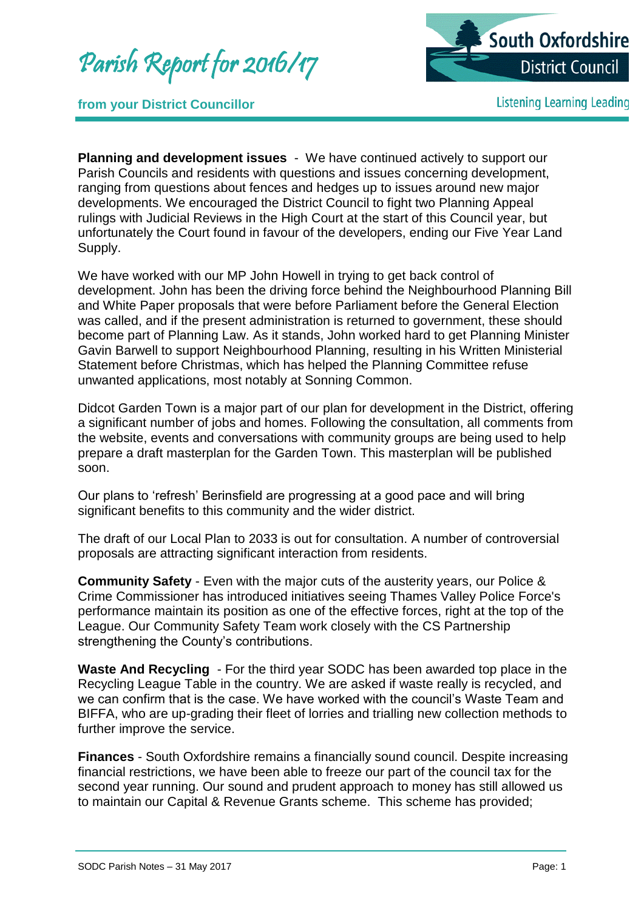Parish Report for 2016/17



**from your District Councillor**

**Listening Learning Leading** 

**Planning and development issues** - We have continued actively to support our Parish Councils and residents with questions and issues concerning development, ranging from questions about fences and hedges up to issues around new major developments. We encouraged the District Council to fight two Planning Appeal rulings with Judicial Reviews in the High Court at the start of this Council year, but unfortunately the Court found in favour of the developers, ending our Five Year Land Supply.

We have worked with our MP John Howell in trying to get back control of development. John has been the driving force behind the Neighbourhood Planning Bill and White Paper proposals that were before Parliament before the General Election was called, and if the present administration is returned to government, these should become part of Planning Law. As it stands, John worked hard to get Planning Minister Gavin Barwell to support Neighbourhood Planning, resulting in his Written Ministerial Statement before Christmas, which has helped the Planning Committee refuse unwanted applications, most notably at Sonning Common.

Didcot Garden Town is a major part of our plan for development in the District, offering a significant number of jobs and homes. Following the consultation, all comments from the website, events and conversations with community groups are being used to help prepare a draft masterplan for the Garden Town. This masterplan will be published soon.

Our plans to 'refresh' Berinsfield are progressing at a good pace and will bring significant benefits to this community and the wider district.

The draft of our Local Plan to 2033 is out for consultation. A number of controversial proposals are attracting significant interaction from residents.

**Community Safety** - Even with the major cuts of the austerity years, our Police & Crime Commissioner has introduced initiatives seeing Thames Valley Police Force's performance maintain its position as one of the effective forces, right at the top of the League. Our Community Safety Team work closely with the CS Partnership strengthening the County's contributions.

**Waste And Recycling** - For the third year SODC has been awarded top place in the Recycling League Table in the country. We are asked if waste really is recycled, and we can confirm that is the case. We have worked with the council's Waste Team and BIFFA, who are up-grading their fleet of lorries and trialling new collection methods to further improve the service.

**Finances** - South Oxfordshire remains a financially sound council. Despite increasing financial restrictions, we have been able to freeze our part of the council tax for the second year running. Our sound and prudent approach to money has still allowed us to maintain our Capital & Revenue Grants scheme. This scheme has provided;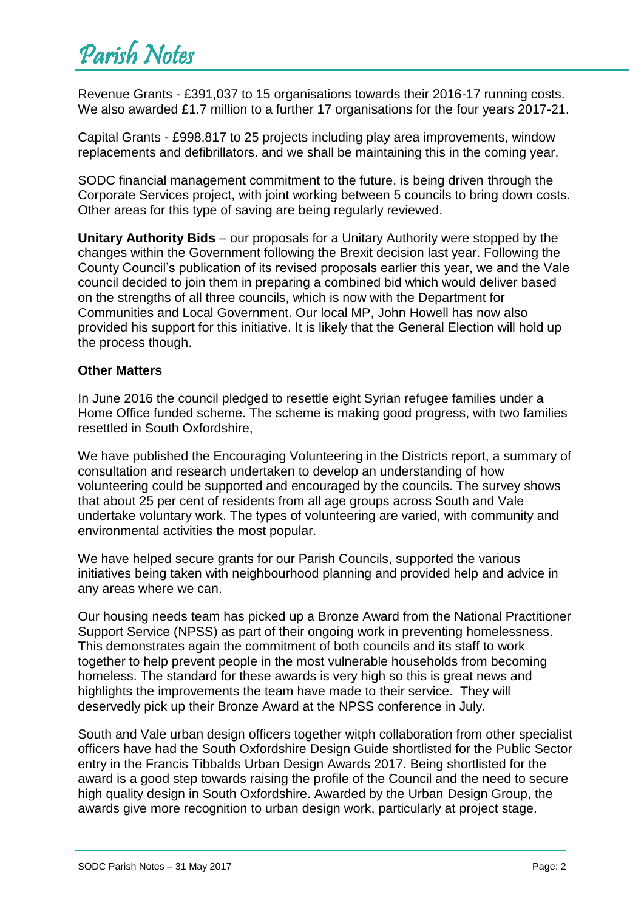Revenue Grants - £391,037 to 15 organisations towards their 2016-17 running costs. We also awarded £1.7 million to a further 17 organisations for the four years 2017-21.

Capital Grants - £998,817 to 25 projects including play area improvements, window replacements and defibrillators. and we shall be maintaining this in the coming year.

SODC financial management commitment to the future, is being driven through the Corporate Services project, with joint working between 5 councils to bring down costs. Other areas for this type of saving are being regularly reviewed.

**Unitary Authority Bids** – our proposals for a Unitary Authority were stopped by the changes within the Government following the Brexit decision last year. Following the County Council's publication of its revised proposals earlier this year, we and the Vale council decided to join them in preparing a combined bid which would deliver based on the strengths of all three councils, which is now with the Department for Communities and Local Government. Our local MP, John Howell has now also provided his support for this initiative. It is likely that the General Election will hold up the process though.

## **Other Matters**

In June 2016 the council pledged to resettle eight Syrian refugee families under a Home Office funded scheme. The scheme is making good progress, with two families resettled in South Oxfordshire,

We have published the Encouraging Volunteering in the Districts report, a summary of consultation and research undertaken to develop an understanding of how volunteering could be supported and encouraged by the councils. The survey shows that about 25 per cent of residents from all age groups across South and Vale undertake voluntary work. The types of volunteering are varied, with community and environmental activities the most popular.

We have helped secure grants for our Parish Councils, supported the various initiatives being taken with neighbourhood planning and provided help and advice in any areas where we can.

Our housing needs team has picked up a Bronze Award from the National Practitioner Support Service (NPSS) as part of their ongoing work in preventing homelessness. This demonstrates again the commitment of both councils and its staff to work together to help prevent people in the most vulnerable households from becoming homeless. The standard for these awards is very high so this is great news and highlights the improvements the team have made to their service. They will deservedly pick up their Bronze Award at the NPSS conference in July.

South and Vale urban design officers together witph collaboration from other specialist officers have had the South Oxfordshire Design Guide shortlisted for the Public Sector entry in the Francis Tibbalds Urban Design Awards 2017. Being shortlisted for the award is a good step towards raising the profile of the Council and the need to secure high quality design in South Oxfordshire. Awarded by the Urban Design Group, the awards give more recognition to urban design work, particularly at project stage.